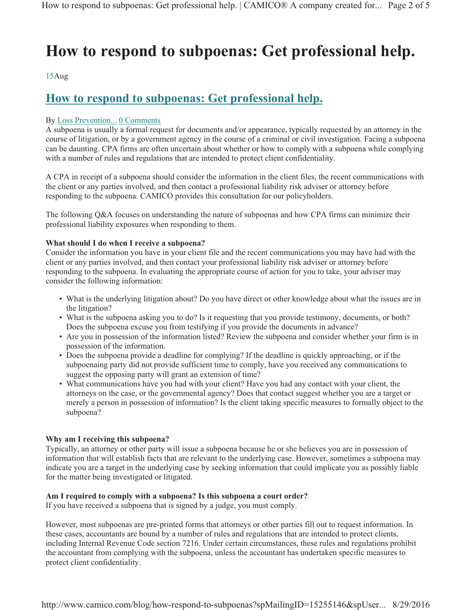# **How to respond to subpoenas: Get professional help.**

15Aug

## **How to respond to subpoenas: Get professional help.**

### By Loss Prevention... 0 Comments

A subpoena is usually a formal request for documents and/or appearance, typically requested by an attorney in the course of litigation, or by a government agency in the course of a criminal or civil investigation. Facing a subpoena can be daunting. CPA firms are often uncertain about whether or how to comply with a subpoena while complying with a number of rules and regulations that are intended to protect client confidentiality.

A CPA in receipt of a subpoena should consider the information in the client files, the recent communications with the client or any parties involved, and then contact a professional liability risk adviser or attorney before responding to the subpoena. CAMICO provides this consultation for our policyholders.

The following Q&A focuses on understanding the nature of subpoenas and how CPA firms can minimize their professional liability exposures when responding to them.

#### **What should I do when I receive a subpoena?**

Consider the information you have in your client file and the recent communications you may have had with the client or any parties involved, and then contact your professional liability risk adviser or attorney before responding to the subpoena. In evaluating the appropriate course of action for you to take, your adviser may consider the following information:

- What is the underlying litigation about? Do you have direct or other knowledge about what the issues are in the litigation?
- What is the subpoena asking you to do? Is it requesting that you provide testimony, documents, or both? Does the subpoena excuse you from testifying if you provide the documents in advance?
- Are you in possession of the information listed? Review the subpoena and consider whether your firm is in possession of the information.
- Does the subpoena provide a deadline for complying? If the deadline is quickly approaching, or if the subpoenaing party did not provide sufficient time to comply, have you received any communications to suggest the opposing party will grant an extension of time?
- What communications have you had with your client? Have you had any contact with your client, the attorneys on the case, or the governmental agency? Does that contact suggest whether you are a target or merely a person in possession of information? Is the client taking specific measures to formally object to the subpoena?

#### **Why am I receiving this subpoena?**

Typically, an attorney or other party will issue a subpoena because he or she believes you are in possession of information that will establish facts that are relevant to the underlying case. However, sometimes a subpoena may indicate you are a target in the underlying case by seeking information that could implicate you as possibly liable for the matter being investigated or litigated.

#### **Am I required to comply with a subpoena? Is this subpoena a court order?**

If you have received a subpoena that is signed by a judge, you must comply.

However, most subpoenas are pre-printed forms that attorneys or other parties fill out to request information. In these cases, accountants are bound by a number of rules and regulations that are intended to protect clients, including Internal Revenue Code section 7216. Under certain circumstances, these rules and regulations prohibit the accountant from complying with the subpoena, unless the accountant has undertaken specific measures to protect client confidentiality.